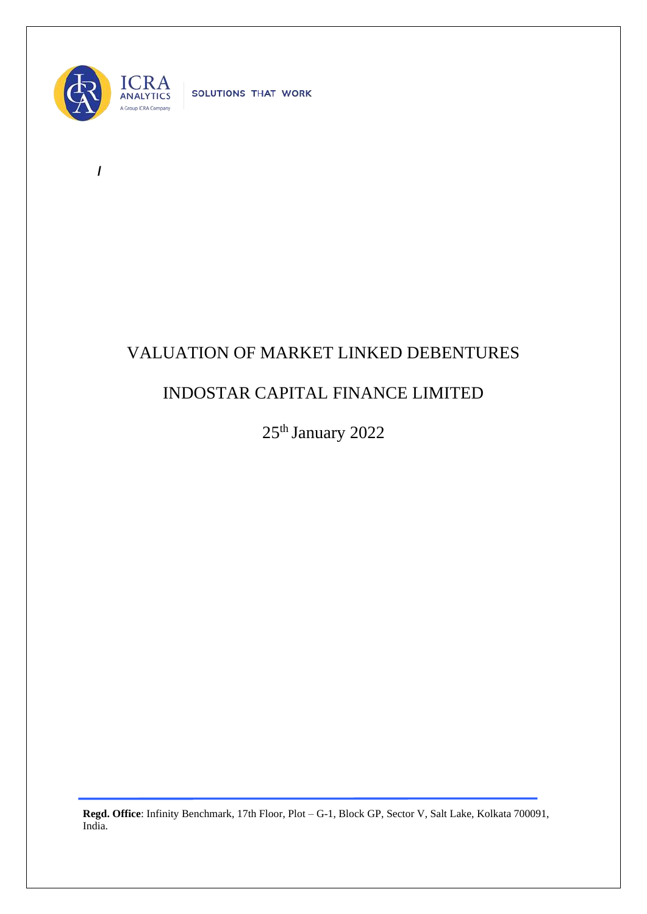

**/** 

SOLUTIONS THAT WORK

## VALUATION OF MARKET LINKED DEBENTURES

## INDOSTAR CAPITAL FINANCE LIMITED

25<sup>th</sup> January 2022

**Regd. Office**: Infinity Benchmark, 17th Floor, Plot – G-1, Block GP, Sector V, Salt Lake, Kolkata 700091, India.